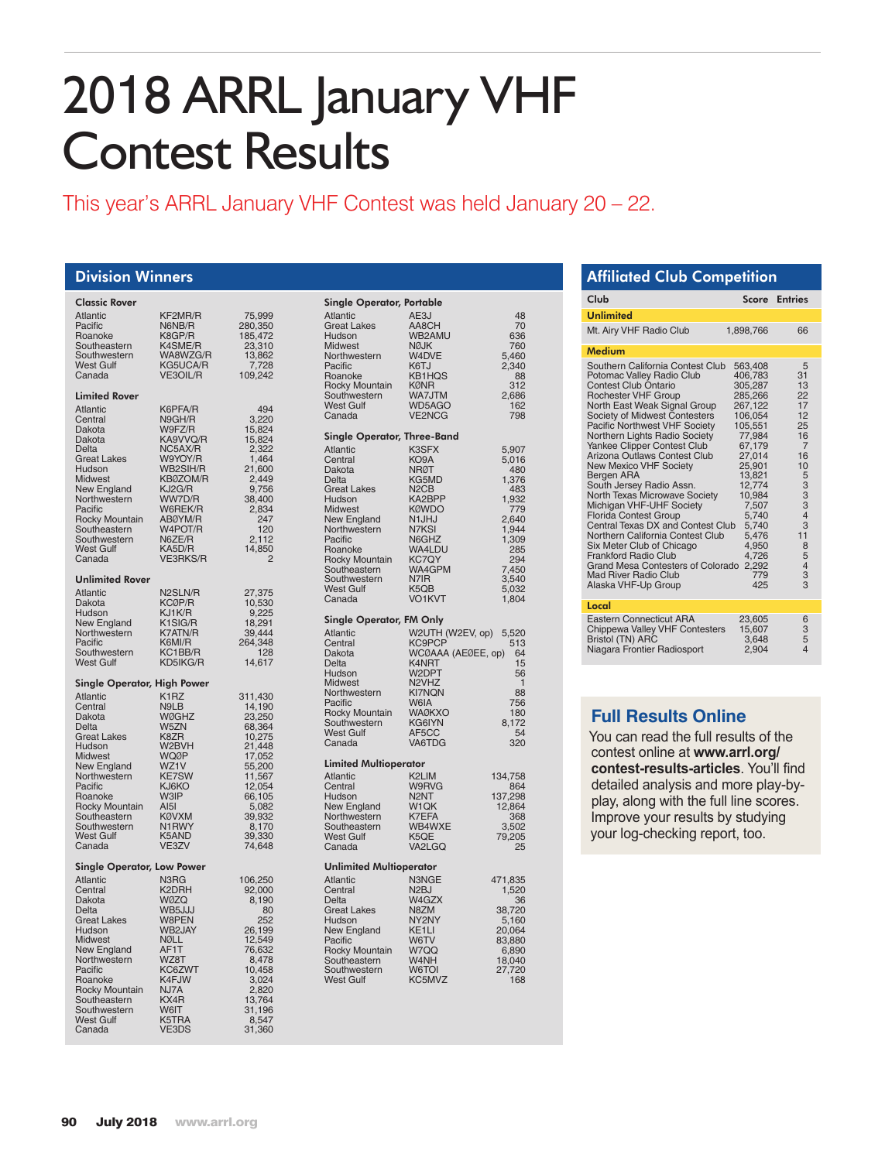# 2018 ARRL January VHF Contest Results

This year's ARRL January VHF Contest was held January 20 – 22.

#### Division Winners

| <b>Classic Rover</b>                                  |                       |                            |
|-------------------------------------------------------|-----------------------|----------------------------|
| <b>Atlantic</b><br>Pacific                            | KF2MR/R<br>N6NB/R     | 75,999<br>280,350          |
| Roanoke                                               | K8GP/R                | 185,472                    |
| Southeastern<br>Southwestern                          | K4SME/R<br>WA8WZG/R   | 23,310<br>13,862           |
| <b>West Gulf</b>                                      | KG5UCA/R              | 7,728<br>109,242           |
| Canada                                                | VE3OIL/R              |                            |
| <b>Limited Rover</b>                                  |                       |                            |
| Atlantic<br>Central                                   | K6PFA/R<br>N9GH/R     | 494<br>3,220               |
| Dakota                                                | W9FZ/R                | 15,824                     |
| Dakota<br>Delta                                       | KA9VVQ/R<br>NC5AX/R   | 15,824<br>2,322            |
| <b>Great Lakes</b>                                    | W9YOY/R               | 1,464                      |
| Hudson<br><b>Midwest</b>                              | WB2SIH/R<br>KB0ZOM/R  | 21,600<br>2,449            |
| New England                                           | KJ2G/R                | 9,756                      |
| Northwestern                                          | WW7D/R                | 38,400                     |
| Pacific<br>Rocky Mountain                             | W6REK/R<br>ABØYM/R    | 2,834<br>247               |
| Southeastern                                          | W4POT/R               | 120                        |
| Southwestern<br><b>West Gulf</b>                      | N6ZE/R<br>KA5D/R      | 2,112<br>14,850            |
| Canada                                                | <b>VE3RKS/R</b>       | $\overline{2}$             |
| <b>Unlimited Rover</b>                                |                       |                            |
| <b>Atlantic</b><br>Dakota                             | N2SLN/R<br>KCØP/R     | 27,375<br>10,530           |
| Hudson                                                | KJ1K/R                | 9,225                      |
| New England<br>Northwestern                           | K1SIG/R<br>K7ATN/R    | 18,291                     |
| Pacific                                               | K6MI/R                | 39,444<br>264,348          |
| Southwestern                                          | KC1BB/R<br>KD5IKG/R   | 128                        |
| <b>West Gulf</b>                                      |                       | 14,617                     |
| <b>Single Operator, High Power</b><br><b>Atlantic</b> | K <sub>1</sub> RZ     | 311,430                    |
| Central                                               | N9LB                  | 14,190<br>23,250           |
| Dakota                                                | <b>WØGHZ</b>          |                            |
| Delta<br><b>Great Lakes</b>                           | W5ZN<br>K8ZR          | 68,364<br>10,275           |
| Hudson                                                | W2BVH                 | 21,448<br>17,052           |
| Midwest<br>New England                                | <b>WQØP</b><br>WZ1V   |                            |
| Northwestern                                          | <b>KE7SW</b>          | 55,200<br>11,567<br>12,054 |
| Pacific<br>Roanoke                                    | KJ6KO<br>W3IP         |                            |
| Rocky Mountain                                        | A <sub>151</sub>      | 66,105<br>5,082            |
| Southeastern<br>Southwestern                          | <b>KØVXM</b><br>N1RWY | 39,932                     |
| <b>West Gulf</b>                                      | K5AND                 | 8,170<br>39,330            |
| Canada                                                | VE3ZV                 | 74,648                     |
| <b>Single Operator, Low Power</b>                     | N3RG                  |                            |
| <b>Atlantic</b><br>Central                            | K2DRH                 | 106,250<br>92,000          |
| Dakota                                                | WØZQ                  | 8,190                      |
| Delta<br><b>Great Lakes</b>                           | WB5JJJ<br>W8PEN       | 80<br>252                  |
| Hudson                                                | WB2JAY                | 26,199<br>12,549           |
| <b>Midwest</b><br>New England                         | NØLL<br>AF1T          | 76,632                     |
| Northwestern                                          | WZ8T                  | 8,478                      |
| Pacific<br>Roanoke                                    | KC6ZWT                | 10,458                     |
| Rocky Mountain                                        | K4FJW<br>NJ7A         | 3,024<br>2,820             |
| Southeastern                                          | KX4R                  | 13,764                     |
| Southwestern<br><b>West Gulf</b>                      | W6IT<br>K5TRA         | 31,196                     |
| Canada                                                | VE3DS                 | 31.360                     |

| Single Operator, Portable                       |                               |              |  |  |  |  |  |  |
|-------------------------------------------------|-------------------------------|--------------|--|--|--|--|--|--|
| <b>Atlantic</b>                                 | AE3J                          | 48           |  |  |  |  |  |  |
| <b>Great Lakes</b>                              | AA8CH                         | 70           |  |  |  |  |  |  |
| Hudson                                          | WB2AMU                        | 636          |  |  |  |  |  |  |
| Midwest                                         | <b>NØJK</b>                   | 760          |  |  |  |  |  |  |
| Northwestern                                    | W4DVE                         | 5,460        |  |  |  |  |  |  |
| Pacific                                         | K6TJ                          | 2,340        |  |  |  |  |  |  |
| Roanoke                                         | <b>KB1HQS</b>                 | 88           |  |  |  |  |  |  |
| Rocky Mountain                                  | <b>KØNR</b>                   | 312          |  |  |  |  |  |  |
| Southwestern                                    | WA7JTM                        | 2,686        |  |  |  |  |  |  |
| <b>West Gulf</b>                                | WD5AGO                        | 162          |  |  |  |  |  |  |
| Canada                                          | VE2NCG                        | 798          |  |  |  |  |  |  |
|                                                 |                               |              |  |  |  |  |  |  |
| Single Operator, Three-Band<br><b>Atlantic</b>  |                               |              |  |  |  |  |  |  |
| Central                                         | K3SFX<br>KO9A                 | 5,907        |  |  |  |  |  |  |
| Dakota                                          | <b>NRØT</b>                   | 5,016<br>480 |  |  |  |  |  |  |
| <b>Delta</b>                                    | KG5MD                         |              |  |  |  |  |  |  |
| <b>Great Lakes</b>                              | N <sub>2</sub> C <sub>B</sub> | 1,376<br>483 |  |  |  |  |  |  |
| Hudson                                          | KA2BPP                        |              |  |  |  |  |  |  |
|                                                 |                               | 1,932        |  |  |  |  |  |  |
| Midwest<br>New England                          | <b>KØWDO</b><br>N1JHJ         | 779<br>2,640 |  |  |  |  |  |  |
| Northwestern                                    | N7KSI                         |              |  |  |  |  |  |  |
| Pacific                                         | N6GHZ                         | 1,944        |  |  |  |  |  |  |
| Roanoke                                         | WA4LDU                        | 1,309<br>285 |  |  |  |  |  |  |
|                                                 | <b>KC7QY</b>                  | 294          |  |  |  |  |  |  |
| Rocky Mountain<br>Southeastern                  | WA4GPM                        | 7,450        |  |  |  |  |  |  |
| Southwestern                                    | N7IR                          | 3,540        |  |  |  |  |  |  |
| West Gulf                                       | K <sub>5</sub> Q <sub>B</sub> | 5,032        |  |  |  |  |  |  |
|                                                 |                               |              |  |  |  |  |  |  |
| Canada                                          | VO1KVT                        | 1,804        |  |  |  |  |  |  |
| <b>Single Operator, FM Only</b>                 |                               |              |  |  |  |  |  |  |
| <b>Atlantic</b>                                 | W2UTH (W2EV, op)              | 5,520        |  |  |  |  |  |  |
| Central                                         | KC9PCP                        | 513          |  |  |  |  |  |  |
| Dakota                                          | WCØAAA (AEØEE, op)            | 64           |  |  |  |  |  |  |
| Delta                                           | K4NRT                         | 15           |  |  |  |  |  |  |
| Hudson                                          | W2DPT                         | 56           |  |  |  |  |  |  |
| Midwest                                         | N2VHZ                         | 1            |  |  |  |  |  |  |
| Northwestern                                    | <b>KI7NQN</b>                 | 88           |  |  |  |  |  |  |
| Pacific                                         | W6IA                          | 756          |  |  |  |  |  |  |
| Rocky Mountain                                  | <b>WAØKXO</b>                 | 180          |  |  |  |  |  |  |
| Southwestern                                    | KG6IYN                        | 8,172        |  |  |  |  |  |  |
| <b>West Gulf</b>                                | AF5CC                         | 54           |  |  |  |  |  |  |
| Canada                                          | VA6TDG                        | 320          |  |  |  |  |  |  |
|                                                 |                               |              |  |  |  |  |  |  |
| <b>Limited Multioperator</b><br><b>Atlantic</b> | K2LIM                         |              |  |  |  |  |  |  |
| Central                                         |                               | 134,758      |  |  |  |  |  |  |
|                                                 | W9RVG                         | 864          |  |  |  |  |  |  |
| Hudson                                          | N <sub>2</sub> NT             | 137,298      |  |  |  |  |  |  |
| New England                                     | W <sub>1QK</sub>              | 12,864       |  |  |  |  |  |  |
| Northwestern                                    | K7EFA                         | 368          |  |  |  |  |  |  |
| Southeastern                                    | WB4WXE                        | 3,502        |  |  |  |  |  |  |
| <b>West Gulf</b><br>Canada                      | K5QE                          | 79,205<br>25 |  |  |  |  |  |  |
|                                                 | VA2LGQ                        |              |  |  |  |  |  |  |
| <b>Unlimited Multioperator</b>                  |                               |              |  |  |  |  |  |  |
| <b>Atlantic</b>                                 | N3NGE                         | 471,835      |  |  |  |  |  |  |
| Central                                         | N <sub>2</sub> BJ             | 1,520        |  |  |  |  |  |  |
| Delta                                           | W4GZX                         | 36           |  |  |  |  |  |  |
| <b>Great Lakes</b>                              | N8ZM                          | 38,720       |  |  |  |  |  |  |
| Hudson                                          | NY2NY                         | 5,160        |  |  |  |  |  |  |
| <b>New England</b>                              | KE1LI                         | 20,064       |  |  |  |  |  |  |
| Pacific                                         | W6TV                          | 83,880       |  |  |  |  |  |  |
| Rocky Mountain                                  | W7QQ                          | 6,890        |  |  |  |  |  |  |
| Southeastern                                    | W4NH                          | 18,040       |  |  |  |  |  |  |
| Southwestern                                    | W6TOI                         | 27,720       |  |  |  |  |  |  |
| <b>West Gulf</b>                                | KC5MVZ                        | 168          |  |  |  |  |  |  |
|                                                 |                               |              |  |  |  |  |  |  |
|                                                 |                               |              |  |  |  |  |  |  |
|                                                 |                               |              |  |  |  |  |  |  |

## Affiliated Club Competition

| Club                                                                                                                                                                                                                                                                                                                                                                                                                                                                                                                                                                                                                                                                                                                   | Score                                                                                                                                                                                                                        | <b>Entries</b>                                                                                                         |
|------------------------------------------------------------------------------------------------------------------------------------------------------------------------------------------------------------------------------------------------------------------------------------------------------------------------------------------------------------------------------------------------------------------------------------------------------------------------------------------------------------------------------------------------------------------------------------------------------------------------------------------------------------------------------------------------------------------------|------------------------------------------------------------------------------------------------------------------------------------------------------------------------------------------------------------------------------|------------------------------------------------------------------------------------------------------------------------|
| <b>Unlimited</b>                                                                                                                                                                                                                                                                                                                                                                                                                                                                                                                                                                                                                                                                                                       |                                                                                                                                                                                                                              |                                                                                                                        |
| Mt. Airy VHF Radio Club                                                                                                                                                                                                                                                                                                                                                                                                                                                                                                                                                                                                                                                                                                | 1.898.766                                                                                                                                                                                                                    | 66                                                                                                                     |
| Medium                                                                                                                                                                                                                                                                                                                                                                                                                                                                                                                                                                                                                                                                                                                 |                                                                                                                                                                                                                              |                                                                                                                        |
| Southern California Contest Club<br>Potomac Valley Radio Club<br>Contest Club Ontario<br><b>Rochester VHF Group</b><br>North East Weak Signal Group<br>Society of Midwest Contesters<br>Pacific Northwest VHF Society<br>Northern Lights Radio Society<br>Yankee Clipper Contest Club<br>Arizona Outlaws Contest Club<br>New Mexico VHF Society<br>Bergen ARA<br>South Jersey Radio Assn.<br>North Texas Microwave Society<br>Michigan VHF-UHF Society<br><b>Florida Contest Group</b><br>Central Texas DX and Contest Club<br>Northern California Contest Club<br>Six Meter Club of Chicago<br><b>Frankford Radio Club</b><br>Grand Mesa Contesters of Colorado<br><b>Mad River Radio Club</b><br>Alaska VHF-Up Group | 563,408<br>406,783<br>305,287<br>285,266<br>267.122<br>106,054<br>105,551<br>77.984<br>67,179<br>27,014<br>25,901<br>13,821<br>12,774<br>10,984<br>7,507<br>5,740<br>5,740<br>5,476<br>4,950<br>4.726<br>2,292<br>779<br>425 | 5<br>31<br>13<br>22<br>17<br>12<br>25<br>16<br>$\overline{7}$<br>16<br>10<br>53334<br>3<br>11<br>8<br>5<br>4<br>3<br>3 |
| Local                                                                                                                                                                                                                                                                                                                                                                                                                                                                                                                                                                                                                                                                                                                  |                                                                                                                                                                                                                              |                                                                                                                        |
| Eastern Connecticut ARA<br>Chippewa Valley VHF Contesters<br><b>Bristol (TN) ARC</b><br>Niagara Frontier Radiosport                                                                                                                                                                                                                                                                                                                                                                                                                                                                                                                                                                                                    | 23,605<br>15,607<br>3,648<br>2.904                                                                                                                                                                                           | 6<br>3<br>5<br>4                                                                                                       |

### **Full Results Online**

You can read the full results of the contest online at **www.arrl.org/ contest-results-articles**. You'll find detailed analysis and more play-byplay, along with the full line scores. Improve your results by studying your log-checking report, too.